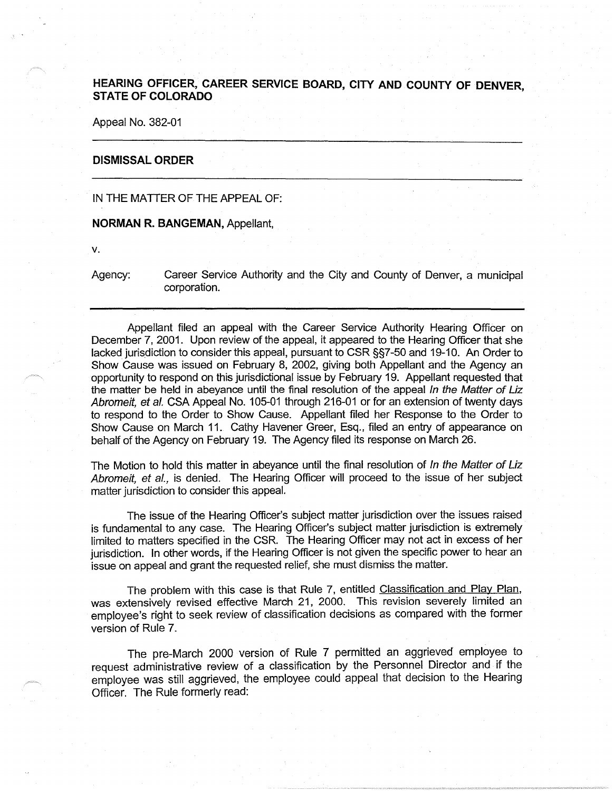# **HEARING OFFICER, CAREER SERVICE BOARD, CITY AND COUNTY OF DENVER STATE OF COLORADO** '

Appeal No. 382-01

### **DISMISSAL ORDER**

# IN THE MATTER OF THE APPEAL OF:

**NORMAN R. BANGEMAN,** Appellant,

V.

Agency: Career Service Authority and the City and County of Denver, a municipal corporation.

Appellant filed an appeal with the Career Service Authority Hearing Officer on December 7, 2001. Upon review of the appeal, it appeared to the Hearing Officer that she lacked jurisdiction to consider this appeal, pursuant to CSR §§7-50 and 19-10. An Order to Show Cause was issued on February 8, 2002, giving both Appellant and the Agency an opportunity to respond on this jurisdictional issue by February 19. Appellant requested that the matter be held in abeyance until the final resolution of the appeal In the Matter of Liz Abromeit, et al. CSA Appeal No. 105-01 through 216-01 or for an extension of twenty days to respond to the Order to Show Cause. Appellant filed her Response to the Order to Show Cause on March 11. Cathy Havener Greer, Esq., filed an entry of appearance on behalf of the Agency on February 19. The Agency filed its response on March 26.

The Motion to hold this matter in abeyance until the final resolution of In the Matter of Liz Abromeit, et al., is denied. The Hearing Officer will proceed to the issue of her subject matter jurisdiction to consider this appeal.

The issue of the Hearing Officer's subject matter jurisdiction over the issues raised is fundamental to any case. The Hearing Officer's subject matter jurisdiction is extremely limited to matters specified in the CSR. The Hearing Officer may not act in excess of her jurisdiction. In other words, if the Hearing Officer is not given the specific power to hear an issue on appeal and grant the requested relief, she must dismiss the matter.

The problem with this case is that Rule 7, entitled Classification and Play Plan, was extensively revised effective March 21, 2000. This revision severely limited an employee's right to seek review of classification decisions as compared with the former version of Rule 7.

The pre-March 2000 version of Rule 7 permitted an aggrieved employee to request administrative review of a classification by the Personnel Director and if the employee was still aggrieved, the employee could appeal that decision to the Hearing Officer. The Rule formerly read: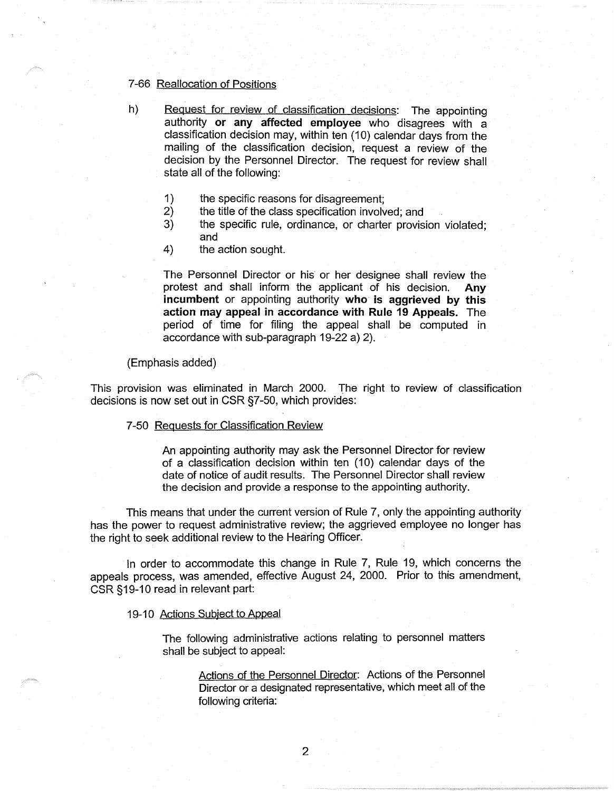# 7-66 Reallocation of Positions

h) Request for review of classification decisions: The appointing authority **or any affected employee** who disagrees with a classification decision may, within ten (10) calendar days from the mailing of the classification decision, request a review of the decision by the Personnel Director. The request for review shall state all of the following:

- 1) the specific reasons for disagreement;<br>2) the title of the class specification involv
- the title of the class specification involved; and
- 3) the specific rule, ordinance, or charter provision violated; and
- 4) the action sought.

The Personnel Director or his or her designee shall review the protest and shall inform the applicant of his decision. **Any incumbent** or appointing authority **who is aggrieved by this action may appeal in accordance with Rule 19 Appeals.** The period of time for filing the appeal shall be computed in accordance with sub-paragraph 19-22 a) 2).

### (Emphasis added)

This provision was eliminated in March 2000. The right to review of classification decisions is now set out in CSR §7-50, which provides:

## 7-50 Requests for Classification Review

An appointing authority may ask the Personnel Director for review of a classification decision within ten (10) calendar days of the date of notice of audit results. The Personnel Director shall review the decision and provide a response to the appointing authority.

This means that under the current version of Rule 7, only the appointing authority has the power to request administrative review; the aggrieved employee no longer has the right to seek additional review to the Hearing Officer.

In order to accommodate this change in Rule 7, Rule 19, which concerns the appeals process, was amended, effective August 24, 2000. Prior to this amendment, CSR §19-10 read in relevant part:

#### 19-10 Actions Subject to Appeal

The following administrative actions relating to personnel matters shall be subject to appeal:

> Actions of the Personnel Director: Actions of the Personnel Director or a designated representative, which meet all of the following criteria: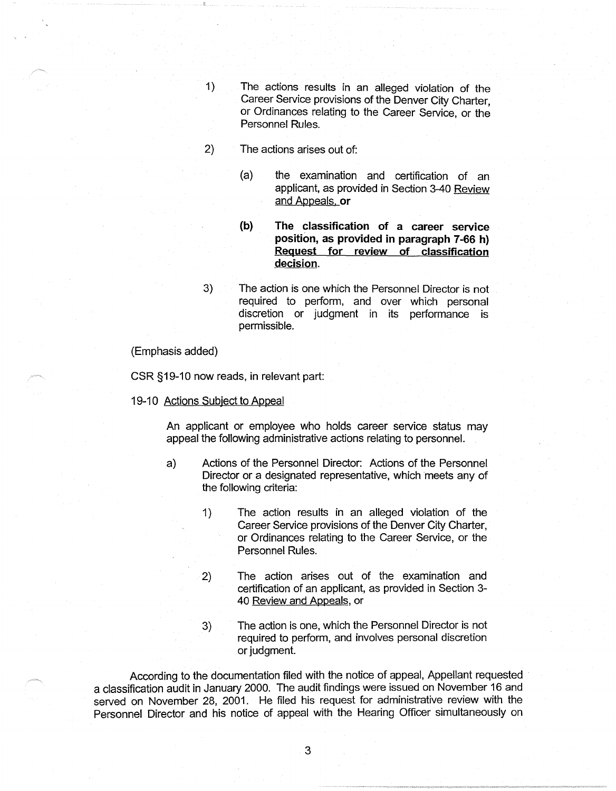- 1) The actions results in an alleged violation of the Career Service provisions of the Denver City Charter, or Ordinances relating to the Career Service, or the Personnel Rules.
- 2) The actions arises out of:
	- (a) the examination and certification of an applicant, as provided in Section 3-40 Review and Appeals. **or**
	- **(b) The classification of a career service position, as provided in paragraph 7-66 h) Request for review of classification decision.**
- 3) The action is one which the Personnel Director is not required to perform, and over which personal discretion or judgment in its performance is permissible.

### (Emphasis added)

CSR §19-10 now reads, in relevant part:

#### 19-10 Actions Subject to Appeal

An applicant or employee who holds career service status may appeal the following administrative actions relating to personnel.

- a) Actions of the Personnel Director: Actions of the Personnel Director or a designated representative, which meets any of the following criteria:
	- 1) The action results in an alleged violation of the Career Service provisions of the Denver City Charter, or Ordinances relating to the Career Service, or the Personnel Rules.
	- 2) The action arises out of the examination and certification of an applicant, as provided in Section 3- 40 Review and Appeals, or
	- 3) The action is one, which the Personnel Director is not required to perform, and involves personal discretion or judgment.

According to the documentation filed with the notice of appeal, Appellant requested a classification audit in January 2000. The audit findings were issued on November 16 and served on November 28, 2001. He filed his request for administrative review with the Personnel Director and his notice of appeal with the Hearing Officer simultaneously on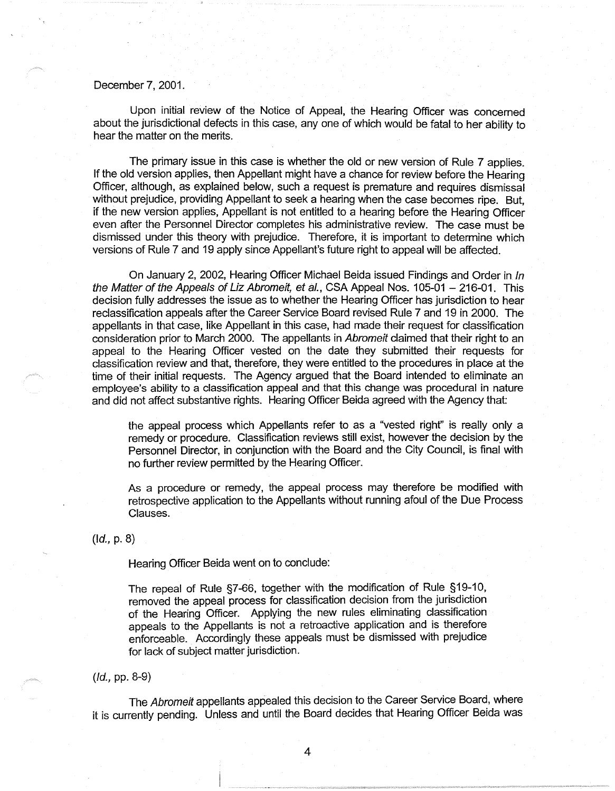# December 7, 2001.

Upon initial review of the Notice of Appeal, the Hearing Officer was concerned about the jurisdictional defects in this case, any one of which would be fatal to her ability to hear the matter on the merits.

The primary issue in this case is whether the old or new version of Rule 7 applies. If the old version applies, then Appellant might have a chance for review before the Hearing Officer, although, as explained below, such a request is premature and requires dismissal without prejudice, providing Appellant to seek a hearing when the case becomes ripe. But, if the new version applies, Appellant is not entitled to a hearing before the Hearing Officer even after the Personnel Director completes his administrative review. The case must be dismissed under this theory with prejudice. Therefore, it is important to determine which versions of Rule 7 and 19 apply since Appellant's future right to appeal will be affected.

On January 2, 2002, Hearing Officer Michael Beida issued Findings and Order in In the Matter of the Appeals of Liz Abromeit, et al., CSA Appeal Nos. 105-01 - 216-01. This decision fully addresses the issue as to whether the Hearing Officer has jurisdiction to hear reclassification appeals after the Career Service Board revised Rule 7 and 19 in 2000. The appellants in that case, like Appellant in this case, had made their request for classification consideration prior to March 2000. The appellants in Abromeit claimed that their right to an appeal to the Hearing Officer vested on the date they submitted their requests for classification review and that, therefore, they were entitled to the procedures in place at the time of their initial requests. The Agency argued that the Board intended to eliminate an employee's ability to a classification appeal and that this change was procedural in nature and did not affect substantive rights. Hearing Officer Beida agreed with the Agency that:

the appeal process which Appellants refer to as a "vested right'' is really only a remedy or procedure. Classification reviews still exist, however the decision by the Personnel Director, in conjunction with the Board and the City Council, is final with no further review permitted by the Hearing Officer.

As a procedure or remedy, the appeal process may therefore be modified with retrospective application to the Appellants without running afoul of the Due Process Clauses.

(Id., p. 8)

Hearing Officer Beida went on to conclude:

The repeal of Rule §7-66, together with the modification of Rule §19-10, removed the appeal process for classification decision from the jurisdiction of the Hearing Officer. Applying the new rules eliminating classification appeals to the Appellants is not a retroactive application and is therefore enforceable. Accordingly these appeals must be dismissed with prejudice for lack of subject matter jurisdiction.

(Id., pp. 8-9)

The Abromeit appellants appealed this decision to the Career Service Board, where it is currently pending. Unless and until the Board decides that Hearing Officer Beida was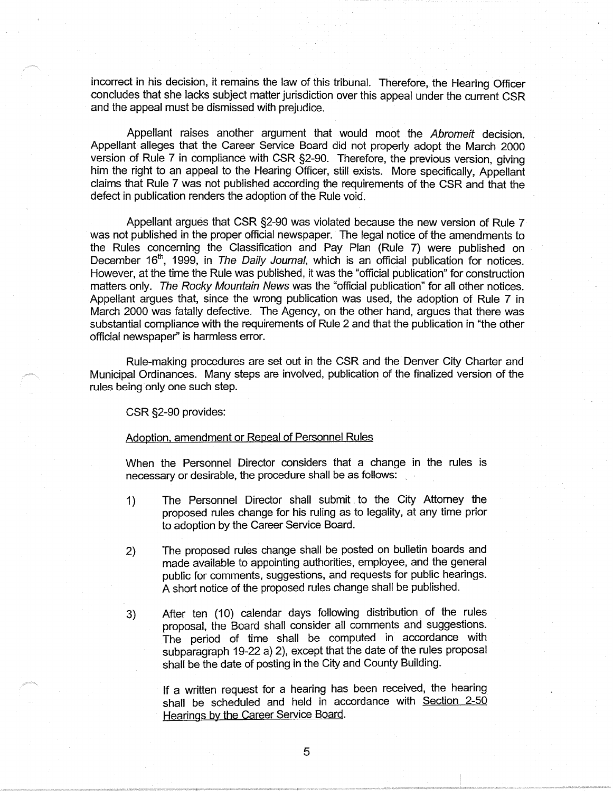incorrect in his decision, it remains the law of this tribunal. Therefore, the Hearing Officer concludes that she lacks subject matter jurisdiction over this appeal under the current CSR and the appeal must be dismissed with prejudice.

Appellant raises another argument that would moot the Abromeit decision. Appellant alleges that the Career Service Board did not properly adopt the March 2000 version of Rule 7 in compliance with CSR §2-90. Therefore, the previous version, giving him the right to an appeal to the Hearing Officer, still exists. More specifically, Appellant claims that Rule 7 was not published according the requirements of the CSR and that the defect in publication renders the adoption of the Rule void.

Appellant argues that CSR §2-90 was violated because the new version of Rule 7 was not published in the proper official newspaper. The legal notice of the amendments to the Rules concerning the Classification and Pay Plan (Rule 7) were published on December 16<sup>th</sup>, 1999, in *The Daily Journal*, which is an official publication for notices. However, at the time the Rule was published, it was the "official publication" for construction matters only. The Rocky Mountain News was the "official publication" for all other notices. Appellant argues that, since the wrong publication was used, the adoption of Rule 7 in March 2000 was fatally defective. The Agency, on the other hand, argues that there was substantial compliance with the requirements of Rule 2 and that the publication in "the other official newspaper" is harmless error.

Rule-making procedures are set out in the CSR and the Denver City Charter and Municipal Ordinances. Many steps are involved, publication of the finalized version of the rules being only one such step.

CSR §2-90 provides:

#### Adoption, amendment or Repeal of Personnel Rules

When the Personnel Director considers that a change in the rules is necessary or desirable, the procedure shall be as follows:

- 1) The Personnel Director shall submit to the City Attorney the proposed rules change for his ruling as to legality, at any time prior to adoption by the Career Service Board.
- 2) The proposed rules change shall be posted on bulletin boards and made available to appointing authorities, employee, and the general public for comments, suggestions, and requests for public hearings. A short notice of the proposed rules change shall be published.
- 3) After ten (10) calendar days following distribution of the rules proposal, the Board shall consider all comments and suggestions. The period of time shall be computed in accordance with subparagraph 19-22 a) 2), except that the date of the rules proposal shall be the date of posting in the City and County Building.

If a written request for a hearing has been received, the hearing shall be scheduled and held in accordance with Section 2-50 Hearings by the Career Service Board.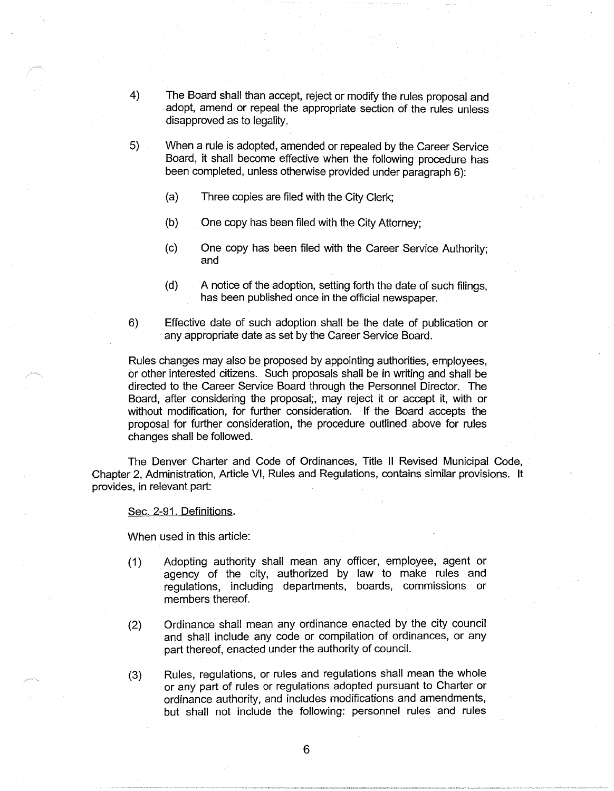- 4) The Board shall than accept, reject or modify the rules proposal and adopt, amend or repeal the appropriate section of the rules unless disapproved as to legality.
- 5) When a rule is adopted, amended or repealed by the Career Service Board, it shall become effective when the following procedure has been completed, unless otherwise provided under paragraph 6):
	- (a) Three copies are filed with the City Clerk;
	- (b) One copy has been filed with the City Attorney;
	- (c) One copy has been filed with the Career Service Authority; and
	- (d) A notice of the adoption, setting forth the date of such filings, has been published once in the official newspaper.
- 6) Effective date of such adoption shall be the date of publication or any appropriate date as set by the Career Service Board.

Rules changes may also be proposed by appointing authorities, employees, or other interested citizens. Such proposals shall be in writing and shall be directed to the Career Service Board through the Personnel Director. The Board, after considering the proposal;, may reject it or accept it, with or without modification, for further consideration. If the Board accepts the proposal for further consideration, the procedure outlined above for rules changes shall be followed.

The Denver Charter and Code of Ordinances, Title II Revised Municipal Code, Chapter 2, Administration, Article VI, Rules and Regulations, contains similar provisions. It provides, in relevant part:

Sec. 2-91. Definitions.

When used in this article:

- (1) Adopting authority shall mean any officer, employee, agent or agency of the city, authorized by law to make rules and regulations, including departments, boards, commissions or members thereof.
- (2) Ordinance shall mean any ordinance enacted by the city council and shall include any code or compilation of ordinances, or any part thereof, enacted under the authority of council.
- (3) Rules, regulations, or rules and regulations shall mean the whole or any part of rules or regulations adopted pursuant to Charter or ordinance authority, and includes modifications and amendments, but shall not include the following: personnel rules and rules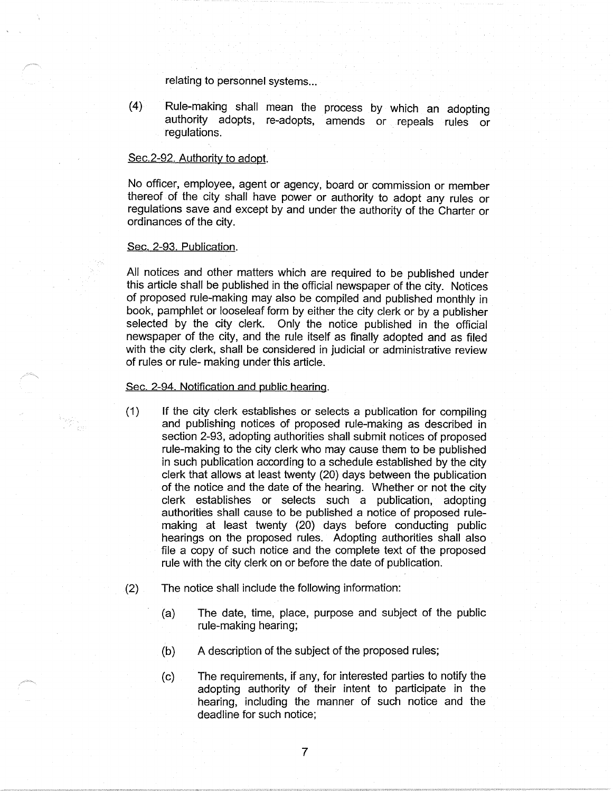relating to personnel systems...

(4) Rule-making shall mean the process by which an adopting authority adopts, re-adopts, amends or repeals rules or regulations.

# Sec.2-92. Authority to adopt.

No officer, employee, agent or agency, board or commission or member thereof of the city shall have power or authority to adopt any rules or regulations save and except by and under the authority of the Charter or ordinances of the city.

#### Sec. 2-93. Publication.

All notices and other matters which are required to be published under this article shall be published in the official newspaper of the city. Notices of proposed rule-making may also be compiled and published monthly in book, pamphlet or looseleaf form by either the city clerk or by a publisher selected by the city clerk. Only the notice published in the official newspaper of the city, and the rule itself as finally adopted and as filed with the city clerk, shall be considered in judicial or administrative review of rules or rule- making under this article.

### Sec. 2-94. Notification and public hearing.

- (1) If the city clerk establishes or selects a publication for compiling and publishing notices of proposed rule-making as described in section 2-93, adopting authorities shall submit notices of proposed rule-making to the city clerk who may cause them to be published in such publication according to a schedule established by the city clerk that allows at least twenty (20) days between the publication of the notice and the date of the hearing. Whether or not the city clerk establishes or selects such a publication, adopting authorities shall cause to be published a notice of proposed rulemaking at least twenty (20) days before conducting public hearings on the proposed rules. Adopting authorities shall also file a copy of such notice and the complete text of the proposed rule with the city clerk on or before the date of publication.
- (2) The notice shall include the following information:
	- (a) The date, time, place, purpose and subject of the public rule-making hearing;
	- (b) A description of the subject of the proposed rules;
	- (c) The requirements, if any, for interested parties to notify the adopting authority of their intent to participate in the hearing, including the manner of such notice and the deadline for such notice;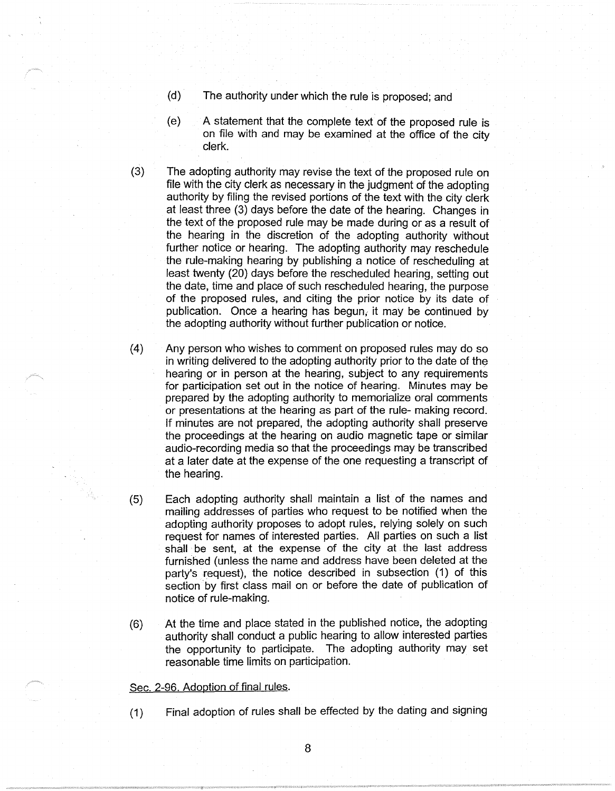- (d) The authority under which the rule is proposed; and
- (e) A statement that the complete text of the proposed rule is on file with and may be examined at the office of the city clerk.
- (3) The adopting authority may revise the text of the proposed rule on file with the city clerk as necessary in the judgment of the adopting authority by filing the revised portions of the text with the city clerk at least three (3) days before the date of the hearing. Changes in the text of the proposed rule may be made during or as a result of the hearing in the discretion of the adopting authority without further notice or hearing. The adopting authority may reschedule the rule-making hearing by publishing a notice of rescheduling at least twenty (20) days before the rescheduled hearing, setting out the date, time and place of such rescheduled hearing, the purpose of the proposed rules, and citing the prior notice by its date of publication. Once a hearing has begun, it may be continued by the adopting authority without further publication or notice.
- (4) Any person who wishes to comment on proposed rules may do so in writing delivered to the adopting authority prior to the date of the hearing or in person at the hearing, subject to any requirements for participation set out in the notice of hearing. Minutes may be prepared by the adopting authority to memorialize oral comments or presentations at the hearing as part of the rule- making record. If minutes are not prepared, the adopting authority shall preserve the proceedings at the hearing on audio magnetic tape or similar audio-recording media so that the proceedings may be transcribed at a later date at the expense of the one requesting a transcript of the hearing.
- (5) Each adopting authority shall maintain a list of the names and mailing addresses of parties who request to be notified when the adopting authority proposes to adopt rules, relying solely on such request for names of interested parties. All parties on such a list shall be sent, at the expense of the city at the last address furnished (unless the name and address have been deleted at the party's request), the notice described in subsection (1) of this section by first class mail on or before the date of publication of notice of rule-making.
- (6) At the time and place stated in the published notice, the adopting authority shall conduct a public hearing to allow interested parties the opportunity to participate. The adopting authority may set reasonable time limits on participation.

# Sec. 2-96. Adoption of final rules.

(1) Final adoption of rules shall be effected by the dating and signing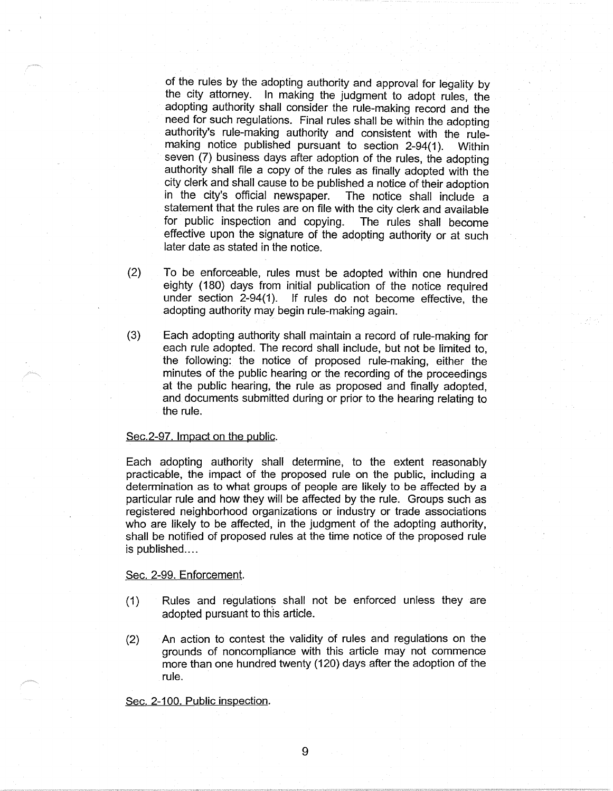of the rules by the adopting authority and approval for legality by the city attorney. In making the judgment to adopt rules, the adopting authority shall consider the rule-making record and the need for such regulations. Final rules shall be within the adopting authority's rule-making authority and consistent with the rulemaking notice published pursuant to section 2-94(1). Within seven (7) business days after adoption of the rules, the adopting authority shall file a copy of the rules as finally adopted with the city clerk and shall cause to be published a notice of their adoption in the city's official newspaper. The notice shall include a statement that the rules are on file with the city clerk and available for public inspection and copying. The rules shall become effective upon the signature of the adopting authority or at such later date as stated in the notice.

- (2) To be enforceable, rules must be adopted within one hundred eighty (180) days from initial publication of the notice required under section 2-94(1). If rules do not become effective, the adopting authority may begin rule-making again.
- (3) Each adopting authority shall maintain a record of rule-making for each rule adopted. The record shall include, but not be limited to, the following: the notice of proposed rule-making, either the minutes of the public hearing or the recording of the proceedings at the public hearing, the rule as proposed and finally adopted, and documents submitted during or prior to the hearing relating to the rule.

#### Sec.2-97. Impact on the public.

Each adopting authority shall determine, to the extent reasonably practicable, the impact of the proposed rule on the public, including a determination as to what groups of people are likely to be affected by a particular rule and how they will be affected by the rule. Groups such as registered neighborhood organizations or industry or trade associations who are likely to be affected, in the judgment of the adopting authority, shall be notified of proposed rules at the time notice of the proposed rule is published....

# Sec. 2-99. Enforcement.

- (1) Rules and regulations shall not be enforced unless they are adopted pursuant to this article.
- (2) An action to contest the validity of rules and regulations on the grounds of noncompliance with this article may not commence more than one hundred twenty (120) days after the adoption of the rule.

### Sec. 2-100. Public inspection.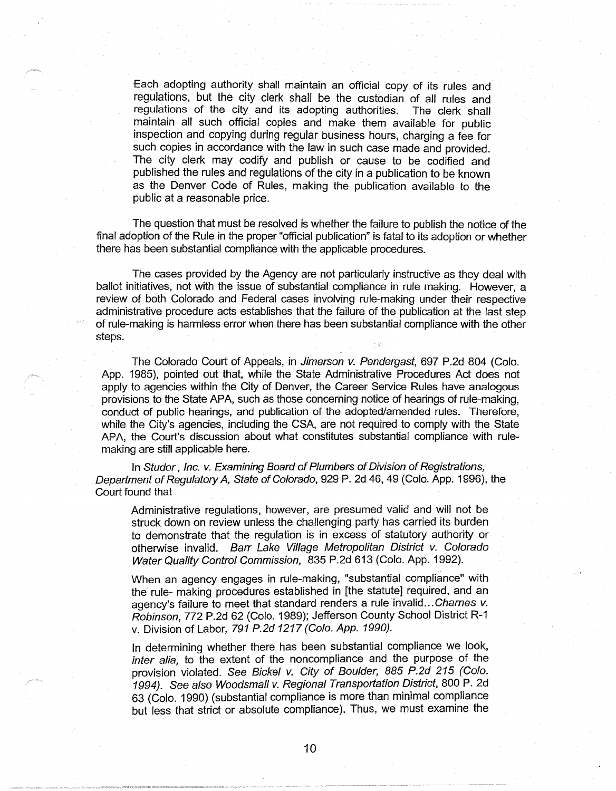Each adopting authority shall maintain an official copy of its rules and regulations, but the city clerk shall be the custodian of all rules and regulations of the city and its adopting authorities. The clerk shall maintain all such official copies and make them available for public inspection and copying during regular business hours, charging a fee for such copies in accordance with the law in such case made and provided. The city clerk may codify and publish or cause to be codified and published the rules and regulations of the city in a publication to be known as the Denver Code of Rules, making the publication available to the public at a reasonable price.

The question that must be resolved is whether the failure to publish the notice of the final adoption of the Rule in the proper "official publication" is fatal to its adoption or whether there has been substantial compliance with the applicable procedures.

The cases provided by the Agency are not particularly instructive as they deal with ballot initiatives, not with the issue of substantial compliance in rule making. However, a review of both Colorado and Federal cases involving rule-making under their respective administrative procedure acts establishes that the failure of the publication at the last step of rule-making is harmless error when there has been substantial compliance with the other steps.

The Colorado Court of Appeals, in Jimerson v. Pendergast, 697 P.2d 804 (Colo. App. 1985), pointed out that, while the State Administrative Procedures Act does not apply to agencies within the City of Denver, the Career Service Rules have analogous provisions to the State APA, such as those concerning notice of hearings of rule-making, conduct of public hearings, and publication of the adopted/amended rules. Therefore, while the City's agencies, including the CSA, are not required to comply with the State APA, the Court's discussion about what constitutes substantial compliance with rulemaking are still applicable here.

In Studor, Inc. v. Examining Board of Plumbers of Division of Registrations, Department of Regulatory A, State of Colorado, 929 P. 2d 46, 49 (Colo. App. 1996), the Court found that

Administrative regulations, however, are presumed valid and will not be struck down on review unless the challenging party has carried its burden to demonstrate that the regulation is in excess of statutory authority or otherwise invalid. Barr Lake Village Metropolitan District v. Colorado Water Quality Control Commission, 835 P.2d 613 (Colo. App. 1992).

When an agency engages in rule-making, "substantial compliance" with the rule- making procedures established in [the statute] required, and an agency's failure to meet that standard renders a rule invalid... Charnes v. Robinson, 772 P.2d 62 (Colo. 1989); Jefferson County School District R-1 v. Division of Labor, 791 P.2d 1217 (Colo. App. 1990).

In determining whether there has been substantial compliance we look, inter alia, to the extent of the noncompliance and the purpose of the provision violated. See Bickel v. City of Boulder, 885 P.2d 215 (Colo. 1994). See also Woodsmall v. Regional Transportation District, 800 P. 2d 63 (Colo. 1990) (substantial compliance is more than minimal compliance but less that strict or absolute compliance). Thus, we must examine the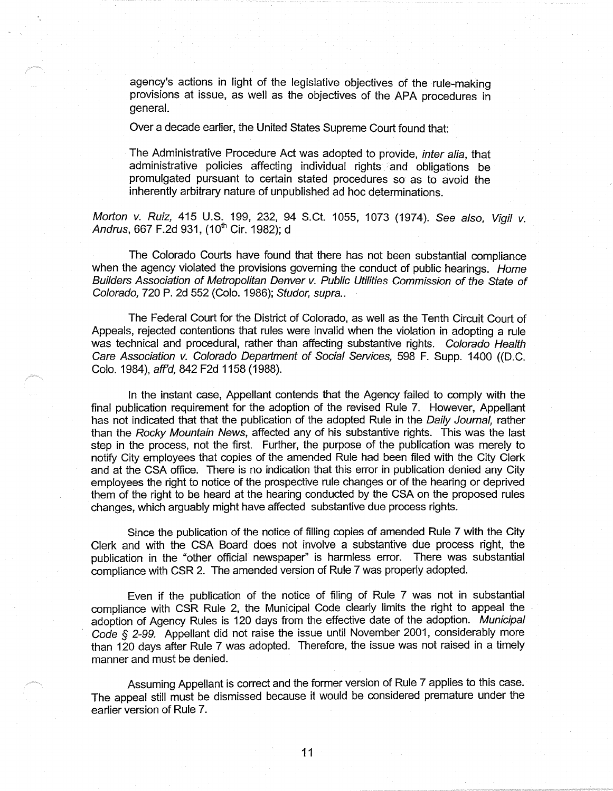agency's actions in light of the legislative objectives of the rule-making provisions at issue, as well as the objectives of the APA procedures in general.

Over a decade earlier, the United States Supreme Court found that:

The Administrative Procedure Act was adopted to provide, inter alia, that administrative policies affecting individual rights and obligations be promulgated pursuant to certain stated procedures so as to avoid the inherently arbitrary nature of unpublished ad hoc determinations.

Morton v. Ruiz, 415 U.S. 199, 232, 94 S.Ct. 1055, 1073 (1974). See also, Vigil v. Andrus, 667 F.2d 931, (10<sup>th</sup> Cir. 1982); d

The Colorado Courts have found that there has not been substantial compliance when the agency violated the provisions governing the conduct of public hearings. Home Builders Association of Metropolitan Denver v. Public Utilities Commission of the State of Colorado, 720 P. 2d 552 (Colo. 1986); Studor, supra ..

The Federal Court for the District of Colorado, as well as the Tenth Circuit Court of Appeals, rejected contentions that rules were invalid when the violation in adopting a rule was technical and procedural, rather than affecting substantive rights. Colorado Health Care Association v. Colorado Department of Social Services, 598 F. Supp. 1400 ((D.C. Colo. 1984), aff'd, 842 F2d 1158 (1988).

In the instant case, Appellant contends that the Agency failed to comply with the final publication requirement for the adoption of the revised Rule 7. However, Appellant has not indicated that that the publication of the adopted Rule in the Daily Journal, rather than the Rocky Mountain News, affected any of his substantive rights. This was the last step in the process, not the first. Further, the purpose of the publication was merely to notify City employees that copies of the amended Rule had been filed with the City Clerk and at the CSA office. There is no indication that this error in publication denied any City employees the right to notice of the prospective rule changes or of the hearing or deprived them of the right to be heard at the hearing conducted by the CSA on the proposed rules changes, which arguably might have affected substantive due process rights.

Since the publication of the notice of filling copies of amended Rule 7 with the City Clerk and with the CSA Board does not involve a substantive due process right, the publication in the "other official newspaper'' is harmless error. There was substantial compliance with CSR 2. The amended version of Rule 7 was properly adopted.

Even if the publication of the notice of filing of Rule 7 was not in substantial compliance with CSR Rule 2, the Municipal Code clearly limits the right to appeal the adoption of Agency Rules is 120 days from the effective date of the adoption. Municipal Code *§* 2-99. Appellant did not raise the issue until November 2001, considerably more than 120 days after Rule 7 was adopted. Therefore, the issue was not raised in a timely manner and must be denied.

Assuming Appellant is correct and the former version of Rule 7 applies to this case. The appeal still must be dismissed because it would be considered premature under the earlier version of Rule 7.